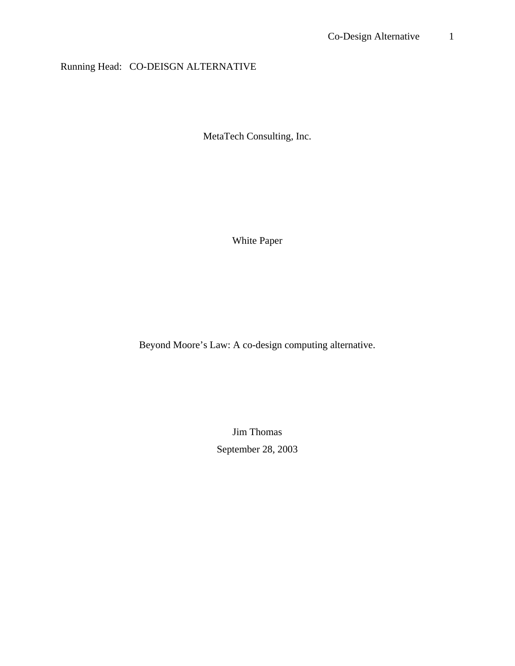Running Head: CO-DEISGN ALTERNATIVE

MetaTech Consulting, Inc.

White Paper

Beyond Moore's Law: A co-design computing alternative.

Jim Thomas September 28, 2003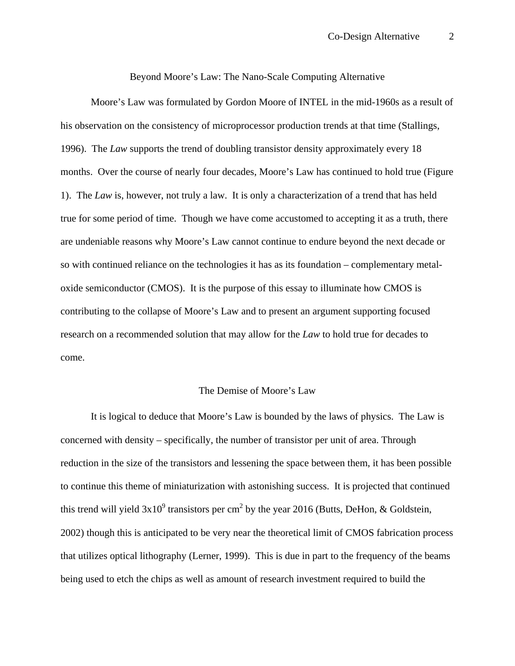Beyond Moore's Law: The Nano-Scale Computing Alternative

Moore's Law was formulated by Gordon Moore of INTEL in the mid-1960s as a result of his observation on the consistency of microprocessor production trends at that time (Stallings, 1996). The *Law* supports the trend of doubling transistor density approximately every 18 months. Over the course of nearly four decades, Moore's Law has continued to hold true (Figure 1). The *Law* is, however, not truly a law. It is only a characterization of a trend that has held true for some period of time. Though we have come accustomed to accepting it as a truth, there are undeniable reasons why Moore's Law cannot continue to endure beyond the next decade or so with continued reliance on the technologies it has as its foundation – complementary metaloxide semiconductor (CMOS). It is the purpose of this essay to illuminate how CMOS is contributing to the collapse of Moore's Law and to present an argument supporting focused research on a recommended solution that may allow for the *Law* to hold true for decades to come.

## The Demise of Moore's Law

It is logical to deduce that Moore's Law is bounded by the laws of physics. The Law is concerned with density – specifically, the number of transistor per unit of area. Through reduction in the size of the transistors and lessening the space between them, it has been possible to continue this theme of miniaturization with astonishing success. It is projected that continued this trend will yield  $3x10^9$  transistors per cm<sup>2</sup> by the year 2016 (Butts, DeHon, & Goldstein, 2002) though this is anticipated to be very near the theoretical limit of CMOS fabrication process that utilizes optical lithography (Lerner, 1999). This is due in part to the frequency of the beams being used to etch the chips as well as amount of research investment required to build the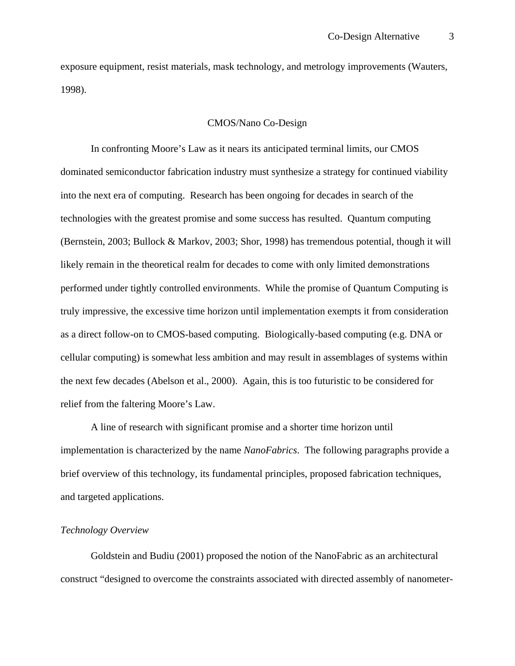exposure equipment, resist materials, mask technology, and metrology improvements (Wauters, 1998).

## CMOS/Nano Co-Design

In confronting Moore's Law as it nears its anticipated terminal limits, our CMOS dominated semiconductor fabrication industry must synthesize a strategy for continued viability into the next era of computing. Research has been ongoing for decades in search of the technologies with the greatest promise and some success has resulted. Quantum computing (Bernstein, 2003; Bullock & Markov, 2003; Shor, 1998) has tremendous potential, though it will likely remain in the theoretical realm for decades to come with only limited demonstrations performed under tightly controlled environments. While the promise of Quantum Computing is truly impressive, the excessive time horizon until implementation exempts it from consideration as a direct follow-on to CMOS-based computing. Biologically-based computing (e.g. DNA or cellular computing) is somewhat less ambition and may result in assemblages of systems within the next few decades (Abelson et al., 2000). Again, this is too futuristic to be considered for relief from the faltering Moore's Law.

A line of research with significant promise and a shorter time horizon until implementation is characterized by the name *NanoFabrics*. The following paragraphs provide a brief overview of this technology, its fundamental principles, proposed fabrication techniques, and targeted applications.

## *Technology Overview*

Goldstein and Budiu (2001) proposed the notion of the NanoFabric as an architectural construct "designed to overcome the constraints associated with directed assembly of nanometer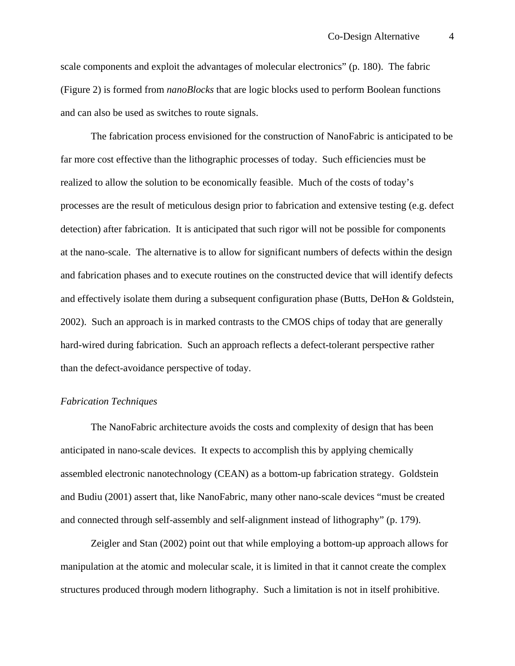scale components and exploit the advantages of molecular electronics" (p. 180). The fabric (Figure 2) is formed from *nanoBlocks* that are logic blocks used to perform Boolean functions and can also be used as switches to route signals.

The fabrication process envisioned for the construction of NanoFabric is anticipated to be far more cost effective than the lithographic processes of today. Such efficiencies must be realized to allow the solution to be economically feasible. Much of the costs of today's processes are the result of meticulous design prior to fabrication and extensive testing (e.g. defect detection) after fabrication. It is anticipated that such rigor will not be possible for components at the nano-scale. The alternative is to allow for significant numbers of defects within the design and fabrication phases and to execute routines on the constructed device that will identify defects and effectively isolate them during a subsequent configuration phase (Butts, DeHon & Goldstein, 2002). Such an approach is in marked contrasts to the CMOS chips of today that are generally hard-wired during fabrication. Such an approach reflects a defect-tolerant perspective rather than the defect-avoidance perspective of today.

### *Fabrication Techniques*

The NanoFabric architecture avoids the costs and complexity of design that has been anticipated in nano-scale devices. It expects to accomplish this by applying chemically assembled electronic nanotechnology (CEAN) as a bottom-up fabrication strategy. Goldstein and Budiu (2001) assert that, like NanoFabric, many other nano-scale devices "must be created and connected through self-assembly and self-alignment instead of lithography" (p. 179).

Zeigler and Stan (2002) point out that while employing a bottom-up approach allows for manipulation at the atomic and molecular scale, it is limited in that it cannot create the complex structures produced through modern lithography. Such a limitation is not in itself prohibitive.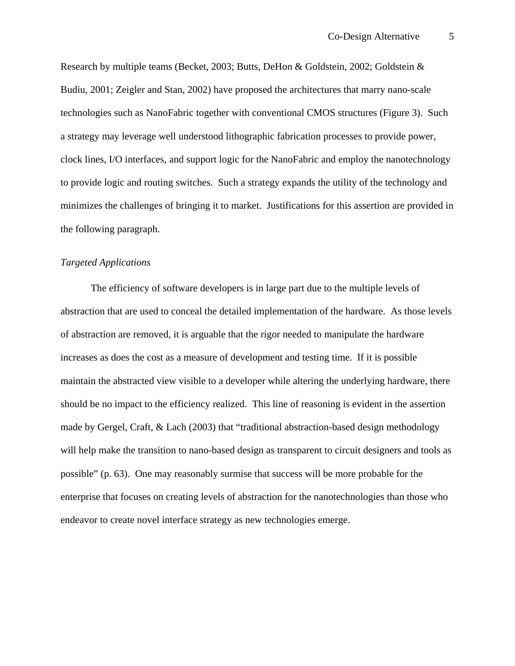Research by multiple teams (Becket, 2003; Butts, DeHon & Goldstein, 2002; Goldstein & Budiu, 2001; Zeigler and Stan, 2002) have proposed the architectures that marry nano-scale technologies such as NanoFabric together with conventional CMOS structures (Figure 3). Such a strategy may leverage well understood lithographic fabrication processes to provide power, clock lines, I/O interfaces, and support logic for the NanoFabric and employ the nanotechnology to provide logic and routing switches. Such a strategy expands the utility of the technology and minimizes the challenges of bringing it to market. Justifications for this assertion are provided in the following paragraph.

## *Targeted Applications*

The efficiency of software developers is in large part due to the multiple levels of abstraction that are used to conceal the detailed implementation of the hardware. As those levels of abstraction are removed, it is arguable that the rigor needed to manipulate the hardware increases as does the cost as a measure of development and testing time. If it is possible maintain the abstracted view visible to a developer while altering the underlying hardware, there should be no impact to the efficiency realized. This line of reasoning is evident in the assertion made by Gergel, Craft, & Lach (2003) that "traditional abstraction-based design methodology will help make the transition to nano-based design as transparent to circuit designers and tools as possible" (p. 63). One may reasonably surmise that success will be more probable for the enterprise that focuses on creating levels of abstraction for the nanotechnologies than those who endeavor to create novel interface strategy as new technologies emerge.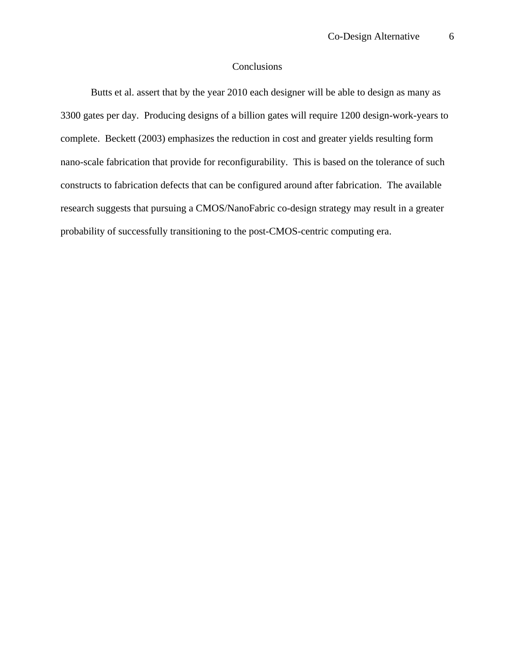# Conclusions

Butts et al. assert that by the year 2010 each designer will be able to design as many as 3300 gates per day. Producing designs of a billion gates will require 1200 design-work-years to complete. Beckett (2003) emphasizes the reduction in cost and greater yields resulting form nano-scale fabrication that provide for reconfigurability. This is based on the tolerance of such constructs to fabrication defects that can be configured around after fabrication. The available research suggests that pursuing a CMOS/NanoFabric co-design strategy may result in a greater probability of successfully transitioning to the post-CMOS-centric computing era.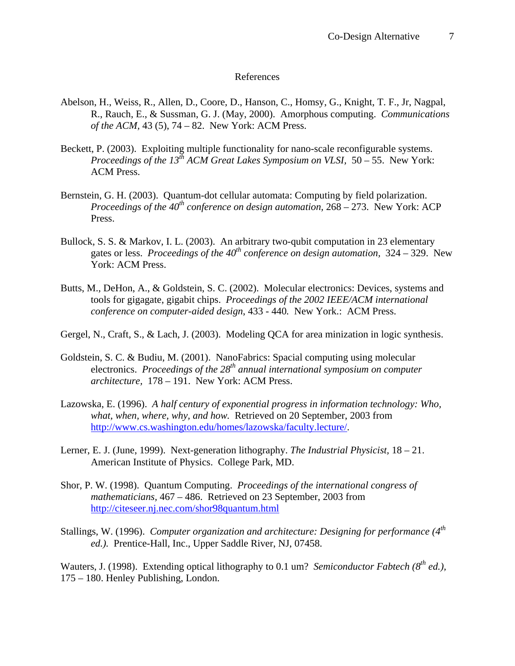## References

- Abelson, H., Weiss, R., Allen, D., Coore, D., Hanson, C., Homsy, G., Knight, T. F., Jr, Nagpal, R., Rauch, E., & Sussman, G. J. (May, 2000). Amorphous computing. *Communications of the ACM,* 43 (5), 74 – 82. New York: ACM Press.
- Beckett, P. (2003). Exploiting multiple functionality for nano-scale reconfigurable systems. *Proceedings of the 13th ACM Great Lakes Symposium on VLSI,* 50 – 55. New York: ACM Press.
- Bernstein, G. H. (2003). Quantum-dot cellular automata: Computing by field polarization. *Proceedings of the 40th conference on design automation,* 268 – 273. New York: ACP Press.
- Bullock, S. S. & Markov, I. L. (2003). An arbitrary two-qubit computation in 23 elementary gates or less. *Proceedings of the 40<sup>th</sup> conference on design automation*, 324 – 329. New York: ACM Press.
- Butts, M., DeHon, A., & Goldstein, S. C. (2002). Molecular electronics: Devices, systems and tools for gigagate, gigabit chips. *Proceedings of the 2002 IEEE/ACM international conference on computer-aided design*, 433 - 440*.* New York.: ACM Press.
- Gergel, N., Craft, S., & Lach, J. (2003). Modeling QCA for area minization in logic synthesis.
- Goldstein, S. C. & Budiu, M. (2001). NanoFabrics: Spacial computing using molecular electronics. *Proceedings of the 28th annual international symposium on computer architecture,* 178 – 191. New York: ACM Press.
- Lazowska, E. (1996). *A half century of exponential progress in information technology: Who, what, when, where, why, and how.* Retrieved on 20 September, 2003 from http://www.cs.washington.edu/homes/lazowska/faculty.lecture/.
- Lerner, E. J. (June, 1999). Next-generation lithography. *The Industrial Physicist,* 18 21. American Institute of Physics. College Park, MD.
- Shor, P. W. (1998). Quantum Computing. *Proceedings of the international congress of mathematicians,* 467 – 486. Retrieved on 23 September, 2003 from http://citeseer.nj.nec.com/shor98quantum.html
- Stallings, W. (1996). *Computer organization and architecture: Designing for performance (4th ed.).* Prentice-Hall, Inc., Upper Saddle River, NJ, 07458.

Wauters, J. (1998). Extending optical lithography to 0.1 um? *Semiconductor Fabtech (8th ed.),*  175 – 180. Henley Publishing, London.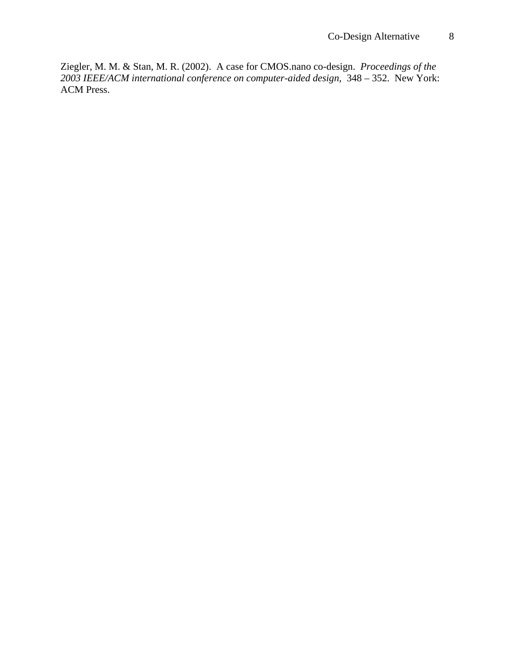Ziegler, M. M. & Stan, M. R. (2002). A case for CMOS.nano co-design. *Proceedings of the 2003 IEEE/ACM international conference on computer-aided design,* 348 – 352. New York: ACM Press.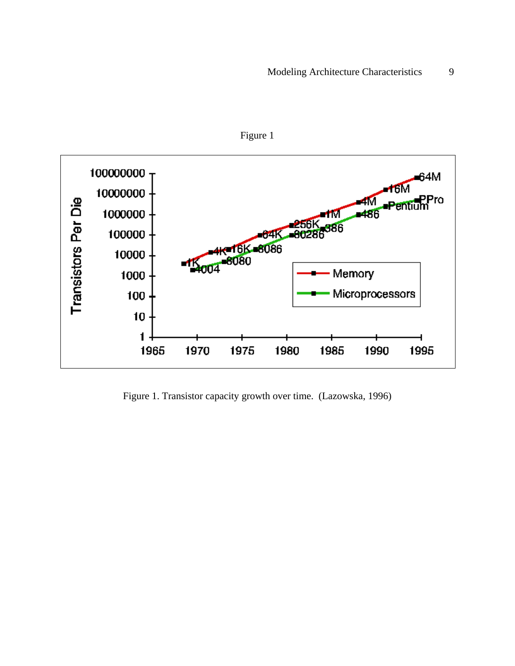

Figure 1

Figure 1. Transistor capacity growth over time. (Lazowska, 1996)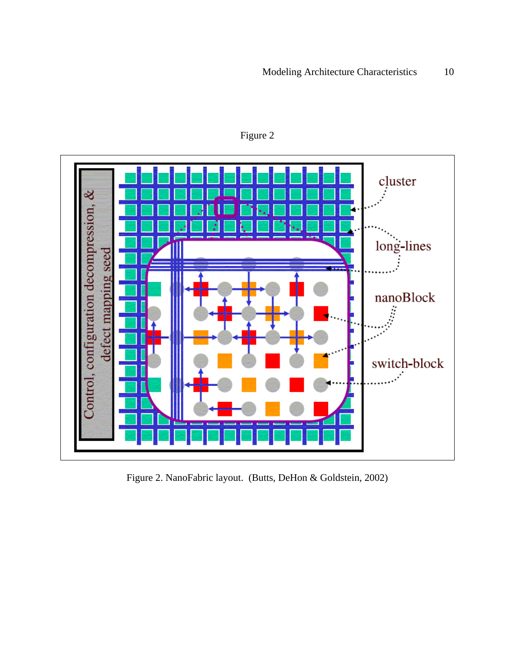

Figure 2

Figure 2. NanoFabric layout. (Butts, DeHon & Goldstein, 2002)